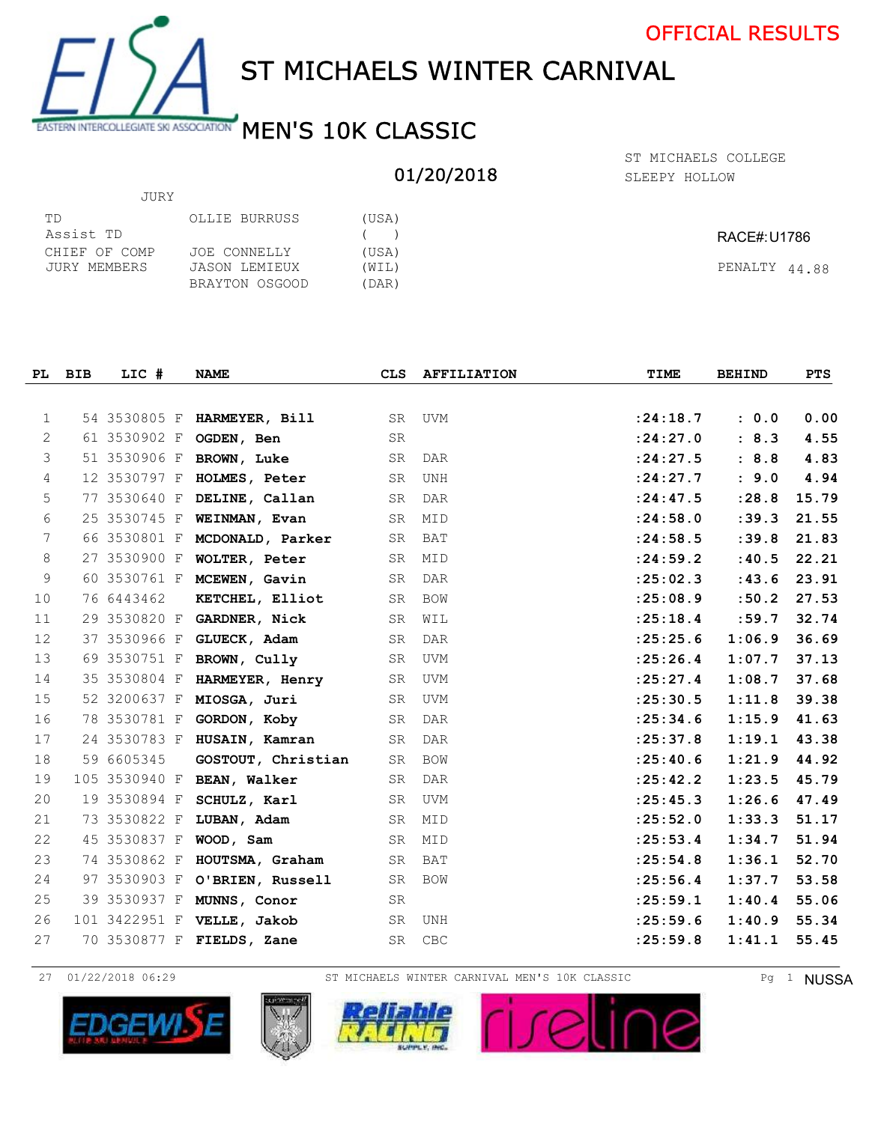

JURY

## ST MICHAELS WINTER CARNIVAL

## EASTERN INTERCOLLEGIATE SKI ASSOCIATION MEN'S 10K CLASSIC

## 01/20/2018

SLEEPY HOLLOW ST MICHAELS COLLEGE

| TD            | OLLIE BURRUSS  | (USA) |               |
|---------------|----------------|-------|---------------|
| Assist TD     |                | (     | RACE#:U1786   |
| CHIEF OF COMP | JOE CONNELLY   | (USA) |               |
| JURY MEMBERS  | JASON LEMIEUX  | (WIL) | PENALTY 44.88 |
|               | BRAYTON OSGOOD | (DAR) |               |

| PL             | <b>BIB</b> | LIC #         | <b>NAME</b>                   | CLS.      | <b>AFFILIATION</b> | TIME       | <b>BEHIND</b> | <b>PTS</b> |
|----------------|------------|---------------|-------------------------------|-----------|--------------------|------------|---------------|------------|
|                |            |               |                               |           |                    |            |               |            |
| $\mathbf{1}$   |            |               | 54 3530805 F HARMEYER, Bill   | SR        | UVM                | : 24:18.7  | : 0.0         | 0.00       |
| 2              |            | 61 3530902 F  | OGDEN, Ben                    | <b>SR</b> |                    | : 24:27.0  | : 8.3         | 4.55       |
| 3              |            |               | 51 3530906 F BROWN, Luke      | SR        | DAR                | : 24:27.5  | : 8.8         | 4.83       |
| 4              |            | 12 3530797 F  | HOLMES, Peter                 | SR        | <b>UNH</b>         | : 24: 27.7 | : 9.0         | 4.94       |
| 5              |            | 77 3530640 F  | DELINE, Callan                | SR        | DAR                | : 24: 47.5 | : 28.8        | 15.79      |
| 6              |            | 25 3530745 F  | WEINMAN, Evan                 | SR        | MID                | : 24:58.0  | : 39.3        | 21.55      |
| 7              |            |               | 66 3530801 F MCDONALD, Parker | SR        | BAT                | : 24:58.5  | : 39.8        | 21.83      |
| 8              |            | 27 3530900 F  | WOLTER, Peter                 | SR        | MID                | : 24:59.2  | : 40.5        | 22.21      |
| $\overline{9}$ |            |               | 60 3530761 F MCEWEN, Gavin    | SR        | DAR                | : 25:02.3  | : 43.6        | 23.91      |
| 10             |            | 76 6443462    | KETCHEL, Elliot               | SR        | BOW                | : 25:08.9  | :50.2         | 27.53      |
| 11             |            |               | 29 3530820 F GARDNER, Nick    | SR        | WIL                | : 25:18.4  | :59.7         | 32.74      |
| 12             |            | 37 3530966 F  | GLUECK, Adam                  | SR        | DAR                | : 25: 25.6 | 1:06.9        | 36.69      |
| 13             |            | 69 3530751 F  | BROWN, Cully                  | SR        | UVM                | : 25:26.4  | 1:07.7        | 37.13      |
| 14             |            |               | 35 3530804 F HARMEYER, Henry  | SR        | UVM                | : 25: 27.4 | 1:08.7        | 37.68      |
| 15             |            | 52 3200637 F  | MIOSGA, Juri                  | SR        | UVM                | : 25:30.5  | 1:11.8        | 39.38      |
| 16             |            | 78 3530781 F  | GORDON, Koby                  | SR        | <b>DAR</b>         | : 25:34.6  | 1:15.9        | 41.63      |
| 17             |            | 24 3530783 F  | HUSAIN, Kamran                | SR        | DAR                | : 25:37.8  | 1:19.1        | 43.38      |
| 18             |            | 59 6605345    | GOSTOUT, Christian            | SR        | BOW                | : 25: 40.6 | 1:21.9        | 44.92      |
| 19             |            | 105 3530940 F | <b>BEAN, Walker</b>           | SR        | DAR                | : 25: 42.2 | 1:23.5        | 45.79      |
| 20             |            | 19 3530894 F  | SCHULZ, Karl                  | SR        | <b>UVM</b>         | : 25: 45.3 | 1:26.6        | 47.49      |
| 21             |            | 73 3530822 F  | LUBAN, Adam                   | SR        | MID                | : 25:52.0  | 1:33.3        | 51.17      |
| 22             |            | 45 3530837 F  | WOOD, Sam                     | SR        | MID                | : 25:53.4  | 1:34.7        | 51.94      |
| 23             |            | 74 3530862 F  | HOUTSMA, Graham               | <b>SR</b> | BAT                | : 25:54.8  | 1:36.1        | 52.70      |
| 24             |            |               | 97 3530903 F O'BRIEN, Russell | SR        | BOW                | : 25:56.4  | 1:37.7        | 53.58      |
| 25             |            | 39 3530937 F  | MUNNS, Conor                  | SR        |                    | : 25: 59.1 | 1:40.4        | 55.06      |
| 26             |            | 101 3422951 F | VELLE, Jakob                  | SR        | UNH                | : 25:59.6  | 1:40.9        | 55.34      |
| 27             |            | 70 3530877 F  | FIELDS, Zane                  | SR        | CBC                | : 25:59.8  | 1:41.1        | 55.45      |

27 01/22/2018 06:29 ST MICHAELS WINTER CARNIVAL MEN'S 10K CLASSIC Pg 1 NUSSA







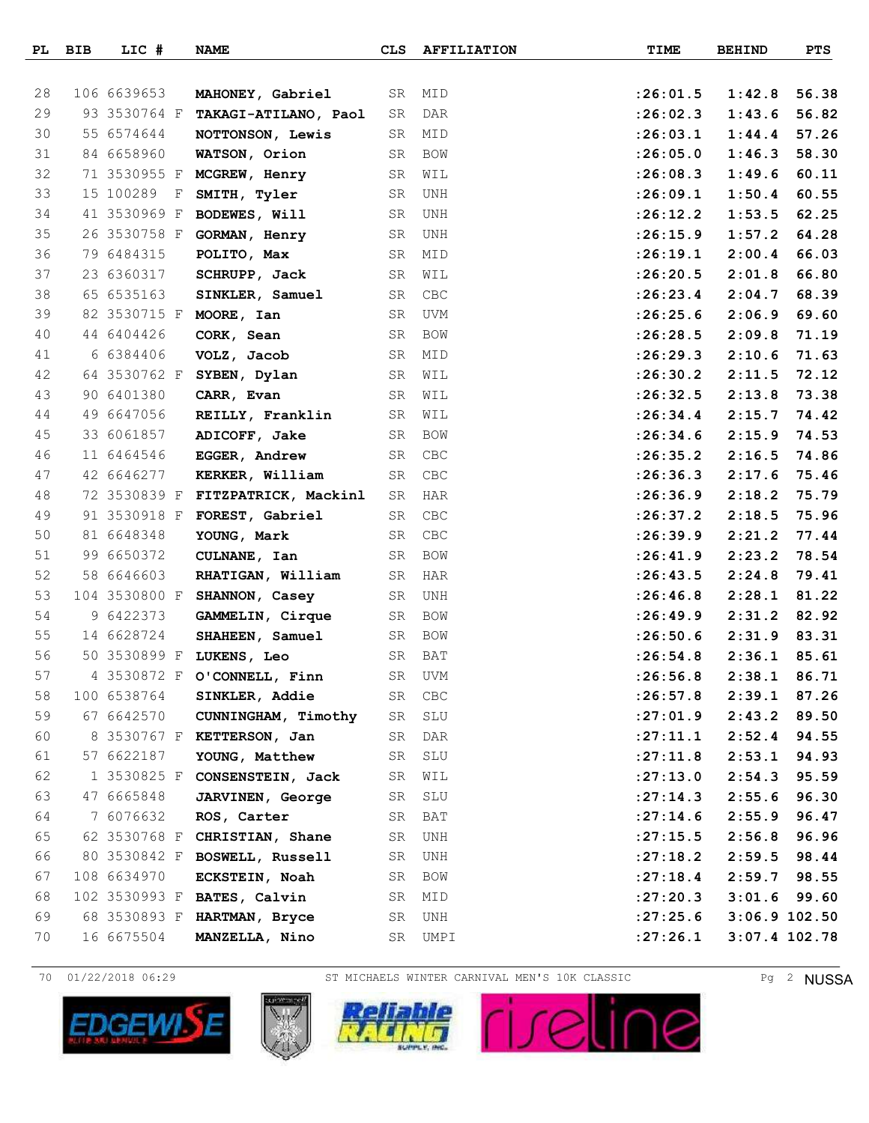|    | PL BIB | LIC #        | <b>NAME</b>                       | CLS | <b>AFFILIATION</b> | TIME       | <b>BEHIND</b> | <b>PTS</b>      |
|----|--------|--------------|-----------------------------------|-----|--------------------|------------|---------------|-----------------|
|    |        |              |                                   |     |                    |            |               |                 |
| 28 |        | 106 6639653  | MAHONEY, Gabriel                  | SR  | MID                | : 26:01.5  | 1:42.8        | 56.38           |
| 29 |        |              | 93 3530764 F TAKAGI-ATILANO, Paol | SR  | DAR                | :26:02.3   | 1:43.6        | 56.82           |
| 30 |        | 55 6574644   | NOTTONSON, Lewis                  | SR  | MID                | : 26:03.1  | 1:44.4        | 57.26           |
| 31 |        | 84 6658960   | WATSON, Orion                     | SR  | BOW                | :26:05.0   | 1:46.3        | 58.30           |
| 32 |        | 71 3530955 F | MCGREW, Henry                     | SR  | WIL                | : 26:08.3  | 1:49.6        | 60.11           |
| 33 |        | 15 100289 F  | SMITH, Tyler                      | SR  | UNH                | :26:09.1   | 1:50.4        | 60.55           |
| 34 |        | 41 3530969 F | BODEWES, Will                     | SR  | UNH                | :26:12.2   | 1:53.5        | 62.25           |
| 35 |        | 26 3530758 F | GORMAN, Henry                     | SR  | UNH                | :26:15.9   | 1:57.2        | 64.28           |
| 36 |        | 79 6484315   | POLITO, Max                       | SR  | MID                | :26:19.1   | 2:00.4        | 66.03           |
| 37 |        | 23 6360317   | SCHRUPP, Jack                     | SR  | WIL                | :26:20.5   | 2:01.8        | 66.80           |
| 38 |        | 65 6535163   | SINKLER, Samuel                   | SR  | CBC                | : 26: 23.4 | 2:04.7        | 68.39           |
| 39 |        |              | 82 3530715 F MOORE, Ian           | SR  | UVM                | : 26: 25.6 | 2:06.9        | 69.60           |
| 40 |        | 44 6404426   | CORK, Sean                        | SR  | BOW                | :26:28.5   | 2:09.8        | 71.19           |
| 41 |        | 6 6384406    | VOLZ, Jacob                       | SR  | MID                | :26:29.3   | 2:10.6        | 71.63           |
| 42 |        |              | 64 3530762 F SYBEN, Dylan         | SR  | WIL                | :26:30.2   | 2:11.5        | 72.12           |
| 43 |        | 90 6401380   | CARR, Evan                        | SR  | WIL                | : 26:32.5  | 2:13.8        | 73.38           |
| 44 |        | 49 6647056   | REILLY, Franklin                  | SR  | WIL                | : 26:34.4  | 2:15.7        | 74.42           |
| 45 |        | 33 6061857   | ADICOFF, Jake                     | SR  | BOW                | : 26:34.6  | 2:15.9        | 74.53           |
| 46 |        | 11 6464546   | EGGER, Andrew                     | SR  | CBC                | : 26:35.2  | 2:16.5        | 74.86           |
| 47 |        | 42 6646277   | KERKER, William                   | SR  | CBC                | : 26:36.3  | 2:17.6        | 75.46           |
| 48 |        |              | 72 3530839 F FITZPATRICK, Mackinl | SR  | HAR                | :26:36.9   | 2:18.2        | 75.79           |
| 49 |        | 91 3530918 F | FOREST, Gabriel                   | SR  | CBC                | :26:37.2   | 2:18.5        | 75.96           |
| 50 |        | 81 6648348   | YOUNG, Mark                       | SR  | CBC                | :26:39.9   | 2:21.2        | 77.44           |
| 51 |        | 99 6650372   | CULNANE, Ian                      | SR  | BOW                | : 26: 41.9 | 2:23.2        | 78.54           |
| 52 |        | 58 6646603   | RHATIGAN, William                 | SR  | HAR                | : 26: 43.5 | 2:24.8        | 79.41           |
| 53 |        |              | 104 3530800 F SHANNON, Casey      | SR  | UNH                | : 26: 46.8 | 2:28.1        | 81.22           |
| 54 |        | 9 6422373    | GAMMELIN, Cirque                  | SR  | BOW                | :26:49.9   | 2:31.2        | 82.92           |
| 55 |        | 14 6628724   | SHAHEEN, Samuel                   | SR  | BOW                | : 26:50.6  | 2:31.9        | 83.31           |
| 56 |        |              | 50 3530899 F LUKENS, Leo          | SR  | BAT                | : 26:54.8  | 2:36.1        | 85.61           |
| 57 |        |              | 4 3530872 F O'CONNELL, Finn       | SR  | <b>UVM</b>         | : 26:56.8  | 2:38.1        | 86.71           |
| 58 |        | 100 6538764  | SINKLER, Addie                    | SR  | CBC                | : 26:57.8  | 2:39.1        | 87.26           |
| 59 |        | 67 6642570   | CUNNINGHAM, Timothy               | SR  | SLU                | : 27:01.9  | 2:43.2        | 89.50           |
| 60 |        |              | 8 3530767 F KETTERSON, Jan        | SR  | DAR                | : 27: 11.1 | 2:52.4        | 94.55           |
| 61 |        | 57 6622187   | YOUNG, Matthew                    | SR  | SLU                | : 27: 11.8 | 2:53.1        | 94.93           |
| 62 |        |              | 1 3530825 F CONSENSTEIN, Jack     | SR  | WIL                | : 27: 13.0 | 2:54.3        | 95.59           |
| 63 |        | 47 6665848   | <b>JARVINEN, George</b>           | SR  | SLU                | : 27:14.3  | 2:55.6        | 96.30           |
| 64 |        | 7 6076632    | ROS, Carter                       | SR  | BAT                | : 27:14.6  | 2:55.9        | 96.47           |
| 65 |        |              | 62 3530768 F CHRISTIAN, Shane     | SR  | UNH                | : 27: 15.5 | 2:56.8        | 96.96           |
| 66 |        |              | 80 3530842 F BOSWELL, Russell     | SR  | UNH                | : 27:18.2  | 2:59.5        | 98.44           |
| 67 |        | 108 6634970  | ECKSTEIN, Noah                    | SR  | BOW                | : 27:18.4  | 2:59.7        | 98.55           |
| 68 |        |              | 102 3530993 F BATES, Calvin       | SR  | MID                | : 27: 20.3 | 3:01.6        | 99.60           |
| 69 |        | 68 3530893 F | HARTMAN, Bryce                    | SR  | UNH                | : 27: 25.6 |               | $3:06.9$ 102.50 |
| 70 |        | 16 6675504   | MANZELLA, Nino                    | SR  | UMPI               | : 27: 26.1 |               | $3:07.4$ 102.78 |





70 01/22/2018 06:29 ST MICHAELS WINTER CARNIVAL MEN'S 10K CLASSIC Pg 2 NUSSA



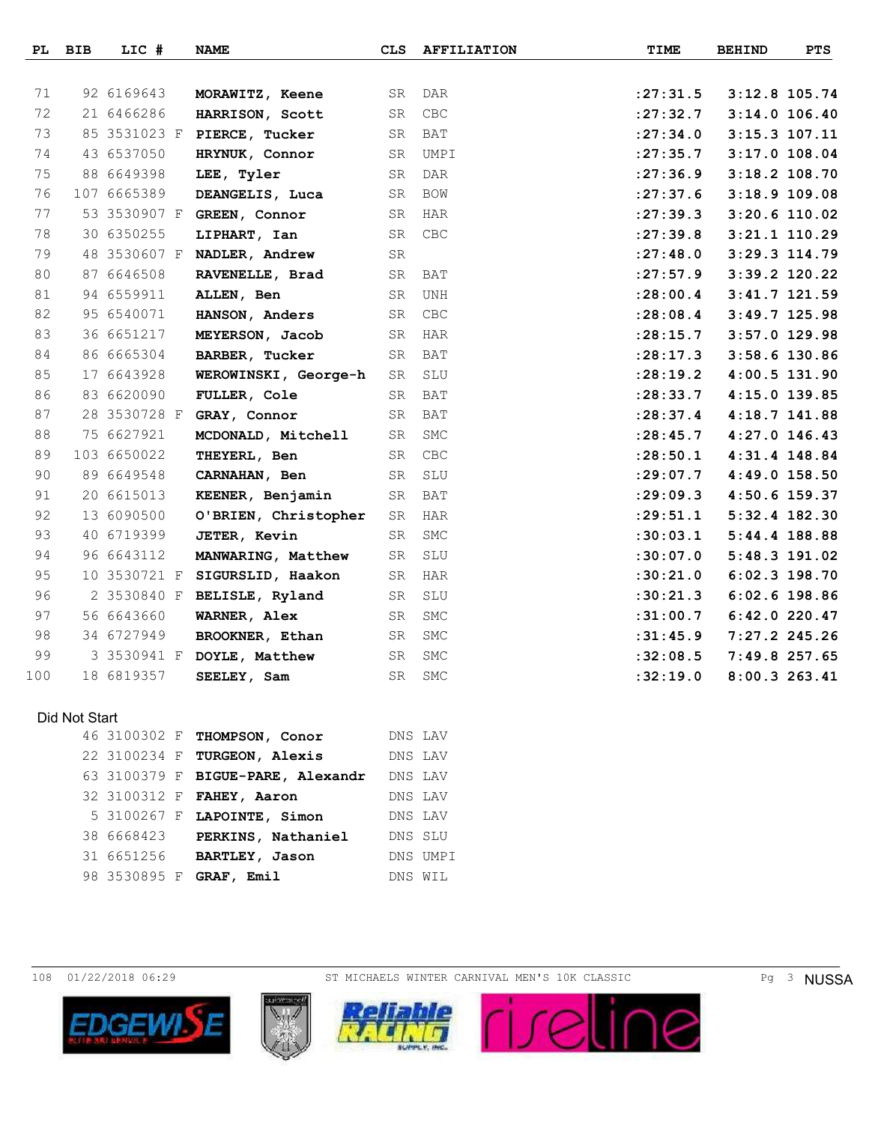|     | PL BIB | LIC #        | <b>NAME</b>                 | <b>CLS</b> | <b>AFFILIATION</b> | TIME       | <b>BEHIND</b> | <b>PTS</b>      |
|-----|--------|--------------|-----------------------------|------------|--------------------|------------|---------------|-----------------|
|     |        |              |                             |            |                    |            |               |                 |
| 71  |        | 92 6169643   | MORAWITZ, Keene             | SR         | DAR                | : 27: 31.5 |               | $3:12.8$ 105.74 |
| 72  |        | 21 6466286   | HARRISON, Scott             | SR         | <b>CBC</b>         | : 27: 32.7 |               | $3:14.0$ 106.40 |
| 73  |        |              | 85 3531023 F PIERCE, Tucker | SR         | BAT                | : 27:34.0  |               | 3:15.3 107.11   |
| 74  |        | 43 6537050   | HRYNUK, Connor              | SR         | UMPI               | : 27:35.7  |               | $3:17.0$ 108.04 |
| 75  |        | 88 6649398   | LEE, Tyler                  | ${\rm SR}$ | <b>DAR</b>         | : 27:36.9  |               | $3:18.2$ 108.70 |
| 76  |        | 107 6665389  | DEANGELIS, Luca             | SR         | BOW                | : 27:37.6  |               | $3:18.9$ 109.08 |
| 77  |        | 53 3530907 F | GREEN, Connor               | SR.        | HAR                | : 27:39.3  |               | $3:20.6$ 110.02 |
| 78  |        | 30 6350255   | LIPHART, Ian                | SR         | <b>CBC</b>         | : 27:39.8  |               | $3:21.1$ 110.29 |
| 79  |        |              | 48 3530607 F NADLER, Andrew | SR         |                    | : 27: 48.0 |               | 3:29.3 114.79   |
| 80  |        | 87 6646508   | RAVENELLE, Brad             | SR         | BAT                | : 27: 57.9 |               | 3:39.2 120.22   |
| 81  |        | 94 6559911   | ALLEN, Ben                  | SR         | <b>UNH</b>         | : 28:00.4  |               | $3:41.7$ 121.59 |
| 82  |        | 95 6540071   | HANSON, Anders              | SR         | CBC                | : 28:08.4  |               | $3:49.7$ 125.98 |
| 83  |        | 36 6651217   | MEYERSON, Jacob             | SR         | HAR                | : 28:15.7  |               | $3:57.0$ 129.98 |
| 84  |        | 86 6665304   | BARBER, Tucker              | SR         | BAT                | : 28: 17.3 |               | 3:58.6 130.86   |
| 85  |        | 17 6643928   | WEROWINSKI, George-h        | SR         | SLU                | : 28:19.2  |               | 4:00.5 131.90   |
| 86  |        | 83 6620090   | FULLER, Cole                | SR         | <b>BAT</b>         | : 28:33.7  |               | 4:15.0 139.85   |
| 87  |        | 28 3530728 F | GRAY, Connor                | SR         | BAT                | : 28:37.4  |               | 4:18.7 141.88   |
| 88  |        | 75 6627921   | MCDONALD, Mitchell          | SR         | SMC                | : 28: 45.7 |               | 4:27.0 146.43   |
| 89  |        | 103 6650022  | THEYERL, Ben                | SR.        | CBC                | : 28:50.1  |               | 4:31.4 148.84   |
| 90  |        | 89 6649548   | CARNAHAN, Ben               | SR         | SLU                | : 29:07.7  |               | 4:49.0 158.50   |
| 91  |        | 20 6615013   | KEENER, Benjamin            | SR         | BAT                | : 29:09.3  |               | 4:50.6 159.37   |
| 92  |        | 13 6090500   | O'BRIEN, Christopher        | SR         | HAR                | : 29: 51.1 |               | 5:32.4 182.30   |
| 93  |        | 40 6719399   | <b>JETER, Kevin</b>         | SR         | <b>SMC</b>         | :30:03.1   |               | 5:44.4 188.88   |
| 94  |        | 96 6643112   | MANWARING, Matthew          | SR         | SLU                | :30:07.0   |               | 5:48.3 191.02   |
| 95  |        | 10 3530721 F | SIGURSLID, Haakon           | SR         | HAR                | :30:21.0   |               | $6:02.3$ 198.70 |
| 96  |        | 2 3530840 F  | BELISLE, Ryland             | SR         | SLU                | :30:21.3   |               | $6:02.6$ 198.86 |
| 97  |        | 56 6643660   | WARNER, Alex                | SR         | SMC                | :31:00.7   |               | $6:42.0$ 220.47 |
| 98  |        | 34 6727949   | BROOKNER, Ethan             | SR         | SMC                | :31:45.9   |               | 7:27.2 245.26   |
| 99  |        |              | 3 3530941 F DOYLE, Matthew  | SR         | ${\tt SMC}$        | :32:08.5   |               | 7:49.8 257.65   |
| 100 |        | 18 6819357   | SEELEY, Sam                 | SR         | <b>SMC</b>         | :32:19.0   |               | 8:00.3263.41    |

## Did Not Start

|            | 46 3100302 F THOMPSON, Conor      | DNS LAV |          |
|------------|-----------------------------------|---------|----------|
|            | 22 3100234 F TURGEON, Alexis      | DNS LAV |          |
|            | 63 3100379 F BIGUE-PARE, Alexandr | DNS LAV |          |
|            | 32 3100312 F FAHEY, Aaron         | DNS LAV |          |
|            | 5 3100267 F LAPOINTE, Simon       | DNS LAV |          |
| 38 6668423 | PERKINS, Nathaniel                | DNS SLU |          |
| 31 6651256 | BARTLEY, Jason                    |         | DNS UMPI |
|            | 98 3530895 F GRAF, Emil           | DNS WIL |          |

108 01/22/2018 06:29 ST MICHAELS WINTER CARNIVAL MEN'S 10K CLASSIC Pg 3 NUSSA





**Reliable**